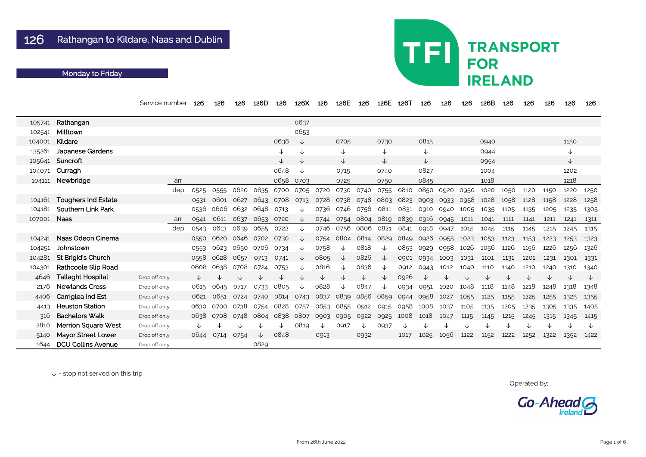|        |                            | Service number | 126  | 126       | 126       | 126D         | 126       | 126X         | 126  | 126E                          | 126  | 126E | 126T      | 126  | 126  | 126  | 126B | 126  | 126  | 126  | 126          | 126  |
|--------|----------------------------|----------------|------|-----------|-----------|--------------|-----------|--------------|------|-------------------------------|------|------|-----------|------|------|------|------|------|------|------|--------------|------|
| 105741 | Rathangan                  |                |      |           |           |              |           | 0637         |      |                               |      |      |           |      |      |      |      |      |      |      |              |      |
| 102541 | Milltown                   |                |      |           |           |              |           | 0653         |      |                               |      |      |           |      |      |      |      |      |      |      |              |      |
| 104001 | Kildare                    |                |      |           |           |              | 0638      | ↓            |      | 0705                          |      | 0730 |           | 0815 |      |      | 0940 |      |      |      | 1150         |      |
| 135261 | <b>Japanese Gardens</b>    |                |      |           |           |              | ↓         | $\downarrow$ |      | ↓                             |      | ↓    |           | ↓    |      |      | 0944 |      |      |      | $\downarrow$ |      |
| 105641 | Suncroft                   |                |      |           |           |              | ↓         | ↓            |      | ↓                             |      | ↓    |           | ↓    |      |      | 0954 |      |      |      | ↓            |      |
| 104071 | Curragh                    |                |      |           |           |              | 0648      | $\downarrow$ |      | 0715                          |      | 0740 |           | 0827 |      |      | 1004 |      |      |      | 1202         |      |
| 104111 | Newbridge                  | arr            |      |           |           |              | 0658      | 0703         |      | 0725                          |      | 0750 |           | 0845 |      |      | 1018 |      |      |      | 1218         |      |
|        |                            | dep            | 0525 | 0555      | 0620      | 0635         | 0700      | 0705         | 0720 | 0730                          | 0740 | 0755 | 0810      | 0850 | 0920 | 0950 | 1020 | 1050 | 1120 | 1150 | 1220         | 1250 |
| 104161 | <b>Toughers Ind Estate</b> |                | 0531 | 0601      | 0627      | 0643         | 0708      | 0713         | 0728 | 0738                          | 0748 | 0803 | 0823      | 0903 | 0933 | 0958 | 1028 | 1058 | 1128 | 1158 | 1228         | 1258 |
| 104181 | <b>Southern Link Park</b>  |                | 0536 | 0606      | 0632      | 0648         | 0713      | ↓            | 0736 | 0746                          | 0756 | 0811 | 0831      | 0910 | 0940 | 1005 | 1035 | 1105 | 1135 | 1205 | 1235         | 1305 |
| 107001 | <b>Naas</b>                | arr            | 0541 | 0611      | 0637      | 0653         | 0720      | ↓            | 0744 | 0754                          | 0804 | 0819 | 0839      | 0916 | 0945 | 1011 | 1041 | 1111 | 1141 | 1211 | 1241         | 1311 |
|        |                            | dep            | 0543 | 0613      | 0639      | 0655         | 0722      | ↓            | 0746 | 0756                          | 0806 | 0821 | 0841      | 0918 | 0947 | 1015 | 1045 | 1115 | 1145 | 1215 | 1245         | 1315 |
| 104241 | Naas Odeon Cinema          |                | 0550 | 0620      | 0646      | 0702         | 0730      | ↓            | 0754 | 0804                          | 0814 | 0829 | 0849      | 0926 | 0955 | 1023 | 1053 | 1123 | 1153 | 1223 | 1253         | 1323 |
| 104251 | Johnstown                  |                | 0553 | 0623      | 0650 0706 |              | 0734      | ↓            | 0758 | ↓                             | 0818 | ↓    | 0853      | 0929 | 0958 | 1026 | 1056 | 1126 | 1156 | 1226 | 1256         | 1326 |
| 104281 | <b>St Brigid's Church</b>  |                | 0558 | 0628      | 0657      | 0713         | 0741      |              | 0805 | ↓                             | 0826 | ╰    | 0901      | 0934 | 1003 | 1031 | 1101 | 1131 | 1201 | 1231 | 1301         | 1331 |
| 104301 | <b>Rathcoole Slip Road</b> |                | 0608 | 0638      | 0708      | 0724         | 0753      |              | 0816 | ↓                             | 0836 | ◡    | 0912      | 0943 | 1012 | 1040 | 1110 | 1140 | 1210 | 1240 | 1310         | 1340 |
| 4646   | <b>Tallaght Hospital</b>   | Drop off only  |      |           |           |              |           |              | ↓    | ↓                             | ↓    |      | 0926      | ↓    |      | ◡    | ↓    |      | ↓    |      | ↓            | ↓    |
| 2176   | <b>Newlands Cross</b>      | Drop off only  | 0615 | 0645      | 0717      | 0733         | 0805      | ↓            | 0828 | ↓                             | 0847 | ↓    | 0934      | 0951 | 1020 | 1048 | 1118 | 1148 | 1218 | 1248 | 1318         | 1348 |
| 4406   | Carriglea Ind Est          | Drop off only  | 0621 | 0651      | 0724      | 0740         | 0814      | 0743         | 0837 | 0839                          | 0856 | 0859 | 0944      | 0958 | 1027 | 1055 | 1125 | 1155 | 1225 | 1255 | 1325         | 1355 |
| 4413   | <b>Heuston Station</b>     | Drop off only  |      | 0630 0700 | 0738      | 0754         | 0828      | 0757         |      | 0853 0855 0912                |      |      | 0915 0958 | 1008 | 1037 | 1105 | 1135 | 1205 | 1235 | 1305 | 1335         | 1405 |
| 316    | <b>Bachelors Walk</b>      | Drop off only  | 0638 | 0708      | 0748      |              | 0804 0838 |              |      | 0807 0903 0905 0922 0925 1008 |      |      |           | 1018 | 1047 | 1115 | 1145 | 1215 | 1245 | 1315 | 1345         | 1415 |
| 2810   | <b>Merrion Square West</b> | Drop off only  |      |           |           |              |           | 0819         | ↓    | 0917                          |      | 0937 |           |      |      |      |      |      |      |      |              | V    |
| 5140   | <b>Mayor Street Lower</b>  | Drop off only  | 0644 | 0714      | 0754      | $\downarrow$ | 0848      |              | 0913 |                               | 0932 |      | 1017      | 1025 | 1056 | 1122 | 1152 | 1222 | 1252 | 1322 | 1352         | 1422 |
| 1644   | <b>DCU Collins Avenue</b>  | Drop off only  |      |           |           | 0829         |           |              |      |                               |      |      |           |      |      |      |      |      |      |      |              |      |

## TFI **TRANSPORT FOR IRELAND**

Operated by:



### Monday to Friday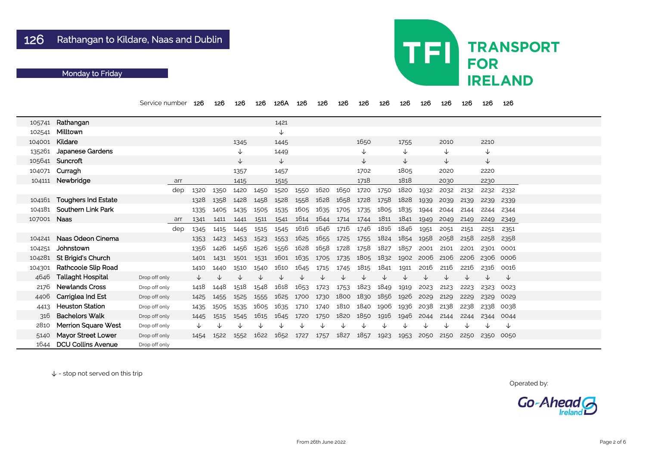|        |                            | Service number | 126  | 126  | 126          | 126  | 126A         | 126  | 126  | 126  | 126            | 126  | 126          | 126  | 126  | 126  | 126          | 126  |  |
|--------|----------------------------|----------------|------|------|--------------|------|--------------|------|------|------|----------------|------|--------------|------|------|------|--------------|------|--|
| 105741 | Rathangan                  |                |      |      |              |      | 1421         |      |      |      |                |      |              |      |      |      |              |      |  |
| 102541 | Milltown                   |                |      |      |              |      | $\downarrow$ |      |      |      |                |      |              |      |      |      |              |      |  |
| 104001 | Kildare                    |                |      |      | 1345         |      | 1445         |      |      |      | 1650           |      | 1755         |      | 2010 |      | 2210         |      |  |
| 135261 | Japanese Gardens           |                |      |      | $\downarrow$ |      | 1449         |      |      |      | $\downarrow$   |      | ↓            |      | V    |      | $\downarrow$ |      |  |
|        | 105641 Suncroft            |                |      |      | ↓            |      | ↓            |      |      |      | $\downarrow$   |      | $\downarrow$ |      | V    |      | $\downarrow$ |      |  |
|        | 104071 Curragh             |                |      |      | 1357         |      | 1457         |      |      |      | 1702           |      | 1805         |      | 2020 |      | 2220         |      |  |
| 104111 | Newbridge                  | arr            |      |      | 1415         |      | 1515         |      |      |      | 1718           |      | 1818         |      | 2030 |      | 2230         |      |  |
|        |                            | dep            | 1320 | 1350 | 1420         | 1450 | 1520         | 1550 | 1620 | 1650 | 1720           | 1750 | 1820         | 1932 | 2032 | 2132 | 2232         | 2332 |  |
|        | 104161 Toughers Ind Estate |                | 1328 | 1358 | 1428         | 1458 | 1528         | 1558 | 1628 | 1658 | 1728           | 1758 | 1828         | 1939 | 2039 | 2139 | 2239         | 2339 |  |
| 104181 | <b>Southern Link Park</b>  |                | 1335 | 1405 | 1435         | 1505 | 1535         | 1605 | 1635 | 1705 | 1735           | 1805 | 1835         | 1944 | 2044 | 2144 | 2244         | 2344 |  |
| 107001 | <b>Naas</b>                | arr            | 1341 | 1411 | 1441         | 1511 | 1541         | 1614 | 1644 | 1714 | 1744           | 1811 | 1841         | 1949 | 2049 | 2149 | 2249         | 2349 |  |
|        |                            | dep            | 1345 | 1415 | 1445         | 1515 | 1545         | 1616 | 1646 | 1716 | 1746           | 1816 | 1846         | 1951 | 2051 | 2151 | 2251         | 2351 |  |
| 104241 | Naas Odeon Cinema          |                | 1353 | 1423 | 1453         | 1523 | 1553         | 1625 | 1655 | 1725 | 1755           | 1824 | 1854         | 1958 | 2058 | 2158 | 2258         | 2358 |  |
| 104251 | Johnstown                  |                | 1356 | 1426 | 1456         | 1526 | 1556         | 1628 | 1658 | 1728 | 1758           | 1827 | 1857         | 2001 | 2101 | 2201 | 2301         | 0001 |  |
| 104281 | St Brigid's Church         |                | 1401 | 1431 | 1501         | 1531 | 1601         | 1635 | 1705 | 1735 | 1805           | 1832 | 1902         | 2006 | 2106 | 2206 | 2306         | 0006 |  |
| 104301 | <b>Rathcoole Slip Road</b> |                | 1410 | 1440 | 1510         | 1540 | 1610         | 1645 | 1715 | 1745 | 1815           | 1841 | 1911         | 2016 | 2116 | 2216 | 2316         | 0016 |  |
| 4646   | <b>Tallaght Hospital</b>   | Drop off only  |      |      |              |      |              |      |      |      |                |      |              |      |      | ◡    | ◡            | ↓    |  |
| 2176   | <b>Newlands Cross</b>      | Drop off only  | 1418 | 1448 | 1518         | 1548 | 1618         | 1653 | 1723 | 1753 | 1823           | 1849 | 1919         | 2023 | 2123 | 2223 | 2323         | 0023 |  |
| 4406   | <b>Carriglea Ind Est</b>   | Drop off only  | 1425 | 1455 | 1525         | 1555 | 1625         | 1700 | 1730 | 1800 | 1830           | 1856 | 1926         | 2029 | 2129 | 2229 | 2329         | 0029 |  |
| 4413   | <b>Heuston Station</b>     | Drop off only  | 1435 | 1505 | 1535         | 1605 | 1635         | 1710 | 1740 | 1810 | 1840 1906      |      | 1936         | 2038 | 2138 | 2238 | 2338         | 0038 |  |
| 316    | <b>Bachelors Walk</b>      | Drop off only  | 1445 | 1515 | 1545         | 1615 | 1645 1720    |      | 1750 |      | 1820 1850 1916 |      | 1946         | 2044 | 2144 | 2244 | 2344         | 0044 |  |
| 2810   | <b>Merrion Square West</b> | Drop off only  |      |      |              |      |              |      |      |      |                |      |              | ↓    |      | ↓    | ↓            | ↓    |  |
| 5140   | <b>Mayor Street Lower</b>  | Drop off only  | 1454 | 1522 | 1552         | 1622 | 1652         | 1727 | 1757 | 1827 | 1857           | 1923 | 1953         | 2050 | 2150 | 2250 | 2350 0050    |      |  |
| 1644   | <b>DCU Collins Avenue</b>  | Drop off only  |      |      |              |      |              |      |      |      |                |      |              |      |      |      |              |      |  |

# TFI **TRANSPORT FOR IRELAND**

Operated by:



### Monday to Friday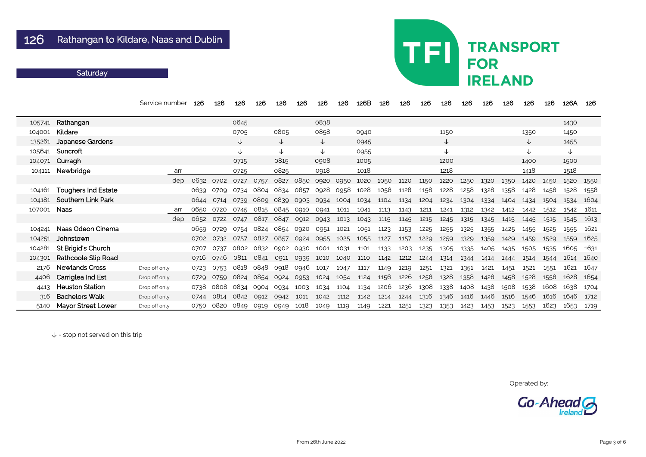### **Saturday**

|        |                            | Service number | 126  | 126  | 126  | 126  | 126          | 126  | 126          | 126  | 126B | 126  | 126  | 126  | 126          | 126  | 126  | 126  | 126          | 126  | 126A | 126  |
|--------|----------------------------|----------------|------|------|------|------|--------------|------|--------------|------|------|------|------|------|--------------|------|------|------|--------------|------|------|------|
| 105741 | Rathangan                  |                |      |      | 0645 |      |              |      | 0838         |      |      |      |      |      |              |      |      |      |              |      | 1430 |      |
| 104001 | Kildare                    |                |      |      | 0705 |      | 0805         |      | 0858         |      | 0940 |      |      |      | 1150         |      |      |      | 1350         |      | 1450 |      |
| 135261 | <b>Japanese Gardens</b>    |                |      |      | ↓    |      | $\downarrow$ |      | $\downarrow$ |      | 0945 |      |      |      | $\downarrow$ |      |      |      | $\downarrow$ |      | 1455 |      |
| 105641 | Suncroft                   |                |      |      | ↓    |      | $\downarrow$ |      | $\downarrow$ |      | 0955 |      |      |      | ↓            |      |      |      | $\downarrow$ |      | ↓    |      |
| 104071 | Curragh                    |                |      |      | 0715 |      | 0815         |      | 0908         |      | 1005 |      |      |      | 1200         |      |      |      | 1400         |      | 1500 |      |
| 104111 | Newbridge                  | arr            |      |      | 0725 |      | 0825         |      | 0918         |      | 1018 |      |      |      | 1218         |      |      |      | 1418         |      | 1518 |      |
|        |                            | dep            | 0632 | 0702 | 0727 | 0757 | 0827         | 0850 | 0920         | 0950 | 1020 | 1050 | 1120 | 1150 | 1220         | 1250 | 1320 | 1350 | 1420         | 1450 | 1520 | 1550 |
| 104161 | <b>Toughers Ind Estate</b> |                | 0639 | 0709 | 0734 | 0804 | 0834         | 0857 | 0928         | 0958 | 1028 | 1058 | 1128 | 1158 | 1228         | 1258 | 1328 | 1358 | 1428         | 1458 | 1528 | 1558 |
| 104181 | <b>Southern Link Park</b>  |                | 0644 | 0714 | 0739 | 0809 | 0839         | 0903 | 0934         | 1004 | 1034 | 1104 | 1134 | 1204 | 1234         | 1304 | 1334 | 1404 | 1434         | 1504 | 1534 | 1604 |
| 107001 | <b>Naas</b>                | arr            | 0650 | 0720 | 0745 | 0815 | 0845         | 0910 | 0941         | 1011 | 1041 | 1113 | 1143 | 1211 | 1241         | 1312 | 1342 | 1412 | 1442         | 1512 | 1542 | 1611 |
|        |                            | dep            | 0652 | 0722 | 0747 | 0817 | 0847         | 0912 | 0943         | 1013 | 1043 | 1115 | 1145 | 1215 | 1245         | 1315 | 1345 | 1415 | 1445         | 1515 | 1545 | 1613 |
| 104241 | Naas Odeon Cinema          |                | 0659 | 0729 | 0754 | 0824 | 0854         | 0920 | 0951         | 1021 | 1051 | 1123 | 1153 | 1225 | 1255         | 1325 | 1355 | 1425 | 1455         | 1525 | 1555 | 1621 |
| 104251 | Johnstown                  |                | 0702 | 0732 | 0757 | 0827 | 0857         | 0924 | 0955         | 1025 | 1055 | 1127 | 1157 | 1229 | 1259         | 1329 | 1359 | 1429 | 1459         | 1529 | 1559 | 1625 |
| 104281 | <b>St Brigid's Church</b>  |                | 0707 | 0737 | 0802 | 0832 | 0902         | 0930 | 1001         | 1031 | 1101 | 1133 | 1203 | 1235 | 1305         | 1335 | 1405 | 1435 | 1505         | 1535 | 1605 | 1631 |
| 104301 | Rathcoole Slip Road        |                | 0716 | 0746 | 0811 | 0841 | 0911         | 0939 | 1010         | 1040 | 1110 | 1142 | 1212 | 1244 | 1314         | 1344 | 1414 | 1444 | 1514         | 1544 | 1614 | 1640 |
| 2176   | <b>Newlands Cross</b>      | Drop off only  | 0723 | 0753 | 0818 | 0848 | 0918         | 0946 | 1017         | 1047 | 1117 | 1149 | 1219 | 1251 | 1321         | 1351 | 1421 | 1451 | 1521         | 1551 | 1621 | 1647 |
| 4406   | Carriglea Ind Est          | Drop off only  | 0729 | 0759 | 0824 | 0854 | 0924         | 0953 | 1024         | 1054 | 1124 | 1156 | 1226 | 1258 | 1328         | 1358 | 1428 | 1458 | 1528         | 1558 | 1628 | 1654 |
| 4413   | <b>Heuston Station</b>     | Drop off only  | 0738 | 0808 | 0834 | 0904 | 0934         | 1003 | 1034         | 1104 | 1134 | 1206 | 1236 | 1308 | 1338         | 1408 | 1438 | 1508 | 1538         | 1608 | 1638 | 1704 |
| 316    | <b>Bachelors Walk</b>      | Drop off only  | 0744 | 0814 | 0842 | 0912 | 0942         | 1011 | 1042         | 1112 | 1142 | 1214 | 1244 | 1316 | 1346         | 1416 | 1446 | 1516 | 1546         | 1616 | 1646 | 1712 |
| 5140   | <b>Mayor Street Lower</b>  | Drop off only  | 0750 | 0820 | 0849 | 0919 | 0949         | 1018 | 1049         | 1119 | 1149 | 1221 | 1251 | 1323 | 1353         | 1423 | 1453 | 1523 | 1553         | 1623 | 1653 | 1719 |

↓ - stop not served on this trip

## TFI **TRANSPORT FOR IRELAND**

Operated by:

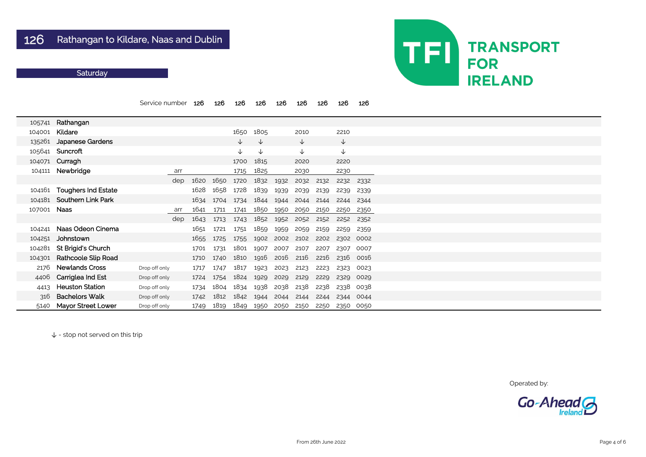### **Saturday**

|        |                            | Service number |     | 126  | 126  | 126          | 126          | 126  | 126          | 126  | 126          | 126  |
|--------|----------------------------|----------------|-----|------|------|--------------|--------------|------|--------------|------|--------------|------|
| 105741 | Rathangan                  |                |     |      |      |              |              |      |              |      |              |      |
| 104001 | Kildare                    |                |     |      |      | 1650         | 1805         |      | 2010         |      | 2210         |      |
| 135261 | <b>Japanese Gardens</b>    |                |     |      |      | $\downarrow$ | $\downarrow$ |      | $\downarrow$ |      | $\downarrow$ |      |
| 105641 | Suncroft                   |                |     |      |      | $\downarrow$ | $\downarrow$ |      | $\downarrow$ |      | $\downarrow$ |      |
| 104071 | Curragh                    |                |     |      |      | 1700         | 1815         |      | 2020         |      | 2220         |      |
| 104111 | Newbridge                  |                | arr |      |      | 1715         | 1825         |      | 2030         |      | 2230         |      |
|        |                            |                | dep | 1620 | 1650 | 1720         | 1832         | 1932 | 2032         | 2132 | 2232         | 2332 |
| 104161 | <b>Toughers Ind Estate</b> |                |     | 1628 | 1658 | 1728         | 1839         | 1939 | 2039         | 2139 | 2239         | 2339 |
| 104181 | <b>Southern Link Park</b>  |                |     | 1634 | 1704 | 1734         | 1844         | 1944 | 2044         | 2144 | 2244         | 2344 |
| 107001 | <b>Naas</b>                |                | arr | 1641 | 1711 | 1741         | 1850         | 1950 | 2050         | 2150 | 2250         | 2350 |
|        |                            |                | dep | 1643 | 1713 | 1743         | 1852         | 1952 | 2052         | 2152 | 2252         | 2352 |
| 104241 | Naas Odeon Cinema          |                |     | 1651 | 1721 | 1751         | 1859         | 1959 | 2059         | 2159 | 2259         | 2359 |
| 104251 | Johnstown                  |                |     | 1655 | 1725 | 1755         | 1902         | 2002 | 2102         | 2202 | 2302         | 0002 |
| 104281 | St Brigid's Church         |                |     | 1701 | 1731 | 1801         | 1907         | 2007 | 2107         | 2207 | 2307         | 0007 |
| 104301 | <b>Rathcoole Slip Road</b> |                |     | 1710 | 1740 | 1810         | 1916         | 2016 | 2116         | 2216 | 2316         | 0016 |
| 2176   | <b>Newlands Cross</b>      | Drop off only  |     | 1717 | 1747 | 1817         | 1923         | 2023 | 2123         | 2223 | 2323         | 0023 |
| 4406   | Carriglea Ind Est          | Drop off only  |     | 1724 | 1754 | 1824         | 1929         | 2029 | 2129         | 2229 | 2329         | 0029 |
| 4413   | <b>Heuston Station</b>     | Drop off only  |     | 1734 | 1804 | 1834         | 1938         | 2038 | 2138         | 2238 | 2338         | 0038 |
| 316    | <b>Bachelors Walk</b>      | Drop off only  |     | 1742 | 1812 | 1842         | 1944         | 2044 | 2144         | 2244 | 2344         | 0044 |
| 5140   | <b>Mayor Street Lower</b>  | Drop off only  |     | 1749 | 1819 | 1849         | 1950         | 2050 | 2150         | 2250 | 2350         | 0050 |

↓ - stop not served on this trip



Operated by:

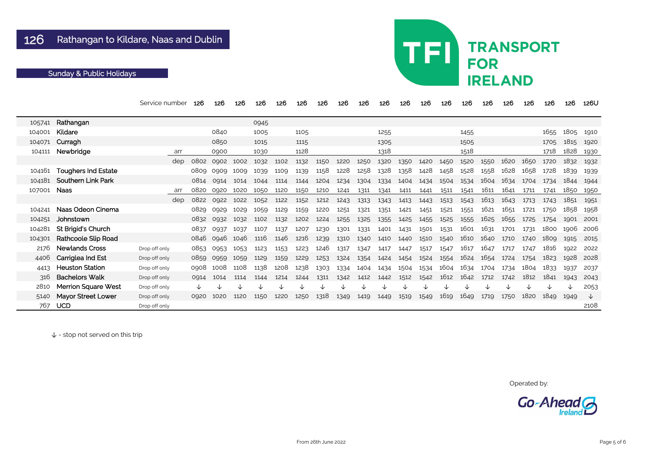|        |                            | Service number | 126  | 126  | 126  | 126  | 126  | 126  | 126  | 126  | 126  | 126  | 126  | 126  | 126  | 126  | 126  | 126  | 126  | 126  | 126  | 126U |
|--------|----------------------------|----------------|------|------|------|------|------|------|------|------|------|------|------|------|------|------|------|------|------|------|------|------|
| 105741 | Rathangan                  |                |      |      |      | 0945 |      |      |      |      |      |      |      |      |      |      |      |      |      |      |      |      |
| 104001 | Kildare                    |                |      | 0840 |      | 1005 |      | 1105 |      |      |      | 1255 |      |      |      | 1455 |      |      |      | 1655 | 1805 | 1910 |
| 104071 | Curragh                    |                |      | 0850 |      | 1015 |      | 1115 |      |      |      | 1305 |      |      |      | 1505 |      |      |      | 1705 | 1815 | 1920 |
| 104111 | Newbridge                  | arr            |      | 0900 |      | 1030 |      | 1128 |      |      |      | 1318 |      |      |      | 1518 |      |      |      | 1718 | 1828 | 1930 |
|        |                            | dep            | 0802 | 0902 | 1002 | 1032 | 1102 | 1132 | 1150 | 1220 | 1250 | 1320 | 1350 | 1420 | 1450 | 1520 | 1550 | 1620 | 1650 | 1720 | 1832 | 1932 |
| 104161 | <b>Toughers Ind Estate</b> |                | 0809 | 0909 | 1009 | 1039 | 1109 | 1139 | 1158 | 1228 | 1258 | 1328 | 1358 | 1428 | 1458 | 1528 | 1558 | 1628 | 1658 | 1728 | 1839 | 1939 |
| 104181 | <b>Southern Link Park</b>  |                | 0814 | 0914 | 1014 | 1044 | 1114 | 1144 | 1204 | 1234 | 1304 | 1334 | 1404 | 1434 | 1504 | 1534 | 1604 | 1634 | 1704 | 1734 | 1844 | 1944 |
| 107001 | <b>Naas</b>                | arr            | 0820 | 0920 | 1020 | 1050 | 1120 | 1150 | 1210 | 1241 | 1311 | 1341 | 1411 | 1441 | 1511 | 1541 | 1611 | 1641 | 1711 | 1741 | 1850 | 1950 |
|        |                            | dep            | 0822 | 0922 | 1022 | 1052 | 1122 | 1152 | 1212 | 1243 | 1313 | 1343 | 1413 | 1443 | 1513 | 1543 | 1613 | 1643 | 1713 | 1743 | 1851 | 1951 |
| 104241 | Naas Odeon Cinema          |                | 0829 | 0929 | 1029 | 1059 | 1129 | 1159 | 1220 | 1251 | 1321 | 1351 | 1421 | 1451 | 1521 | 1551 | 1621 | 1651 | 1721 | 1750 | 1858 | 1958 |
| 104251 | Johnstown                  |                | 0832 | 0932 | 1032 | 1102 | 1132 | 1202 | 1224 | 1255 | 1325 | 1355 | 1425 | 1455 | 1525 | 1555 | 1625 | 1655 | 1725 | 1754 | 1901 | 2001 |
| 104281 | St Brigid's Church         |                | 0837 | 0937 | 1037 | 1107 | 1137 | 1207 | 1230 | 1301 | 1331 | 1401 | 1431 | 1501 | 1531 | 1601 | 1631 | 1701 | 1731 | 1800 | 1906 | 2006 |
| 104301 | Rathcoole Slip Road        |                | 0846 | 0946 | 1046 | 1116 | 1146 | 1216 | 1239 | 1310 | 1340 | 1410 | 1440 | 1510 | 1540 | 1610 | 1640 | 1710 | 1740 | 1809 | 1915 | 2015 |
| 2176   | <b>Newlands Cross</b>      | Drop off only  | 0853 | 0953 | 1053 | 1123 | 1153 | 1223 | 1246 | 1317 | 1347 | 1417 | 1447 | 1517 | 1547 | 1617 | 1647 | 1717 | 1747 | 1816 | 1922 | 2022 |
| 4406   | Carriglea Ind Est          | Drop off only  | 0859 | 0959 | 1059 | 1129 | 1159 | 1229 | 1253 | 1324 | 1354 | 1424 | 1454 | 1524 | 1554 | 1624 | 1654 | 1724 | 1754 | 1823 | 1928 | 2028 |
| 4413   | <b>Heuston Station</b>     | Drop off only  | 0908 | 1008 | 1108 | 1138 | 1208 | 1238 | 1303 | 1334 | 1404 | 1434 | 1504 | 1534 | 1604 | 1634 | 1704 | 1734 | 1804 | 1833 | 1937 | 2037 |
| 316    | <b>Bachelors Walk</b>      | Drop off only  | 0914 | 1014 | 1114 | 1144 | 1214 | 1244 | 1311 | 1342 | 1412 | 1442 | 1512 | 1542 | 1612 | 1642 | 1712 | 1742 | 1812 | 1841 | 1943 | 2043 |
| 2810   | <b>Merrion Square West</b> | Drop off only  |      |      |      |      |      |      | ↓    |      |      |      |      |      |      |      |      |      |      |      |      | 2053 |
| 5140   | <b>Mayor Street Lower</b>  | Drop off only  | 0920 | 1020 | 1120 | 1150 | 1220 | 1250 | 1318 | 1349 | 1419 | 1449 | 1519 | 1549 | 1619 | 1649 | 1719 | 1750 | 1820 | 1849 | 1949 | ╰┸   |
| 767    | <b>UCD</b>                 | Drop off only  |      |      |      |      |      |      |      |      |      |      |      |      |      |      |      |      |      |      |      | 2108 |

# **TRANSPORT FOR IRELAND**

TFI

Operated by:



## Sunday & Public Holidays